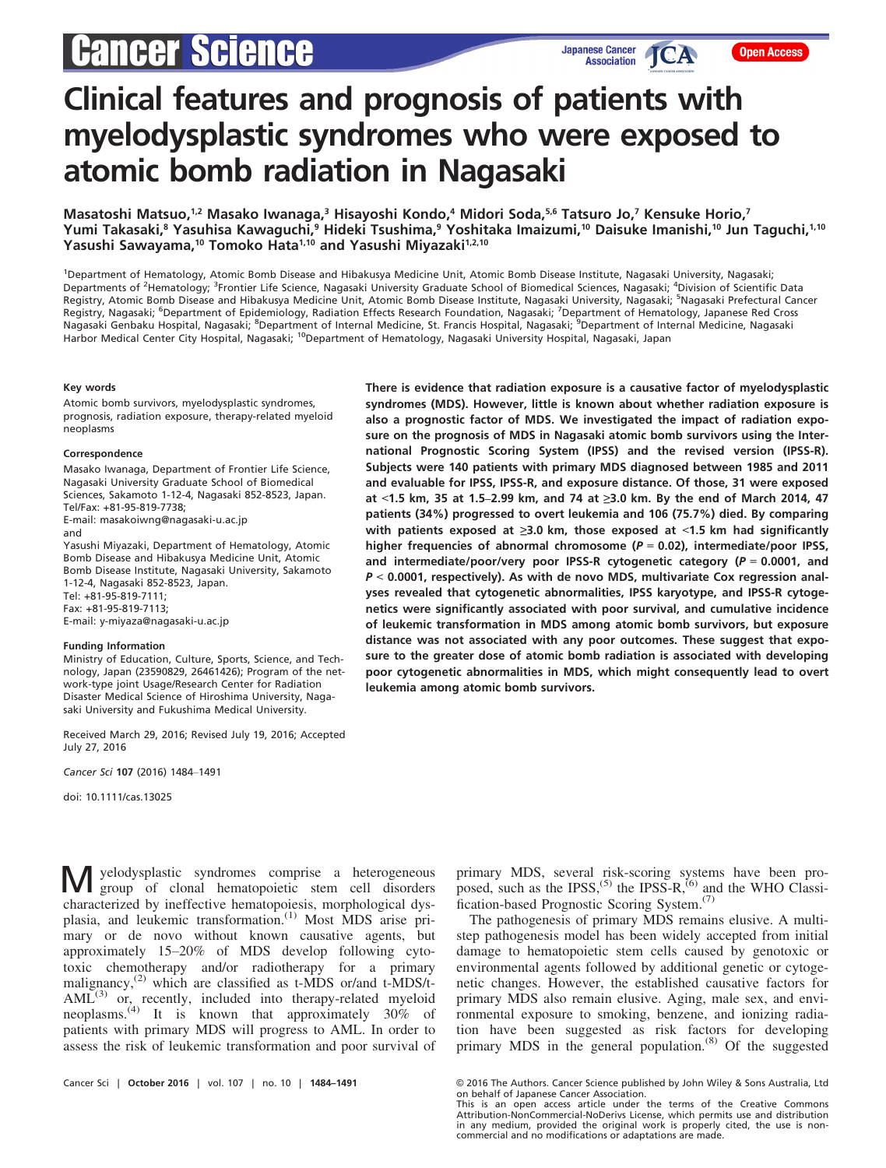# **Cancer Science**

# Clinical features and prognosis of patients with myelodysplastic syndromes who were exposed to atomic bomb radiation in Nagasaki

Masatoshi Matsuo,<sup>1,2</sup> Masako Iwanaga,<sup>3</sup> Hisayoshi Kondo,<sup>4</sup> Midori Soda,<sup>5,6</sup> Tatsuro Jo,<sup>7</sup> Kensuke Horio,<sup>7</sup> Yumi Takasaki,<sup>8</sup> Yasuhisa Kawaguchi,<sup>9</sup> Hideki Tsushima,<sup>9</sup> Yoshitaka Imaizumi,<sup>10</sup> Daisuke Imanishi,<sup>10</sup> Jun Taguchi,<sup>1,10</sup> Yasushi Sawayama,<sup>10</sup> Tomoko Hata<sup>1,10</sup> and Yasushi Miyazaki<sup>1,2,10</sup>

<sup>1</sup>Department of Hematology, Atomic Bomb Disease and Hibakusya Medicine Unit, Atomic Bomb Disease Institute, Nagasaki University, Nagasaki; Departments of <sup>2</sup>Hematology; <sup>3</sup>Frontier Life Science, Nagasaki University Graduate School of Biomedical Sciences, Nagasaki; <sup>4</sup>Division of Scientific Data Registry, Atomic Bomb Disease and Hibakusya Medicine Unit, Atomic Bomb Disease Institute, Nagasaki University, Nagasaki; <sup>5</sup>Nagasaki Prefectural Cancer Registry, Nagasaki; <sup>6</sup>Department of Epidemiology, Radiation Effects Research Foundation, Nagasaki; <sup>7</sup>Department of Hematology, Japanese Red Cross Nagasaki Genbaku Hospital, Nagasaki; <sup>8</sup>Department of Internal Medicine, St. Francis Hospital, Nagasaki; <sup>9</sup>Department of Internal Medicine, Nagasaki Harbor Medical Center City Hospital, Nagasaki; <sup>10</sup>Department of Hematology, Nagasaki University Hospital, Nagasaki, Japan

#### Key words

Atomic bomb survivors, myelodysplastic syndromes, prognosis, radiation exposure, therapy-related myeloid neoplasms

#### Correspondence

Masako Iwanaga, Department of Frontier Life Science, Nagasaki University Graduate School of Biomedical Sciences, Sakamoto 1-12-4, Nagasaki 852-8523, Japan. Tel/Fax: +81-95-819-7738; E-mail: masakoiwng@nagasaki-u.ac.jp and Yasushi Miyazaki, Department of Hematology, Atomic Bomb Disease and Hibakusya Medicine Unit, Atomic Bomb Disease Institute, Nagasaki University, Sakamoto 1-12-4, Nagasaki 852-8523, Japan. Tel: +81-95-819-7111; Fax: +81-95-819-7113; E-mail: y-miyaza@nagasaki-u.ac.jp

## Funding Information

Ministry of Education, Culture, Sports, Science, and Technology, Japan (23590829, 26461426); Program of the network-type joint Usage/Research Center for Radiation Disaster Medical Science of Hiroshima University, Nagasaki University and Fukushima Medical University.

Received March 29, 2016; Revised July 19, 2016; Accepted July 27, 2016

Cancer Sci 107 (2016) 1484–1491

doi: 10.1111/cas.13025

yelodysplastic syndromes comprise a heterogeneous group of clonal hematopoietic stem cell disorders characterized by ineffective hematopoiesis, morphological dysplasia, and leukemic transformation.<sup>(1)</sup> Most MDS arise primary or de novo without known causative agents, but approximately 15–20% of MDS develop following cytotoxic chemotherapy and/or radiotherapy for a primary malignancy,<sup>(2)</sup> which are classified as t-MDS or/and t-MDS/t- $AML<sup>(3)</sup>$  or, recently, included into therapy-related myeloid neoplasms.(4) It is known that approximately 30% of patients with primary MDS will progress to AML. In order to assess the risk of leukemic transformation and poor survival of

There is evidence that radiation exposure is a causative factor of myelodysplastic syndromes (MDS). However, little is known about whether radiation exposure is also a prognostic factor of MDS. We investigated the impact of radiation exposure on the prognosis of MDS in Nagasaki atomic bomb survivors using the International Prognostic Scoring System (IPSS) and the revised version (IPSS-R). Subjects were 140 patients with primary MDS diagnosed between 1985 and 2011 and evaluable for IPSS, IPSS-R, and exposure distance. Of those, 31 were exposed at <1.5 km, 35 at 1.5–2.99 km, and 74 at ≥3.0 km. By the end of March 2014, 47 patients (34%) progressed to overt leukemia and 106 (75.7%) died. By comparing with patients exposed at ≥3.0 km, those exposed at <1.5 km had significantly higher frequencies of abnormal chromosome ( $P = 0.02$ ), intermediate/poor IPSS, and intermediate/poor/very poor IPSS-R cytogenetic category ( $P = 0.0001$ , and  $P < 0.0001$ , respectively). As with de novo MDS, multivariate Cox regression analyses revealed that cytogenetic abnormalities, IPSS karyotype, and IPSS-R cytogenetics were significantly associated with poor survival, and cumulative incidence of leukemic transformation in MDS among atomic bomb survivors, but exposure distance was not associated with any poor outcomes. These suggest that exposure to the greater dose of atomic bomb radiation is associated with developing poor cytogenetic abnormalities in MDS, which might consequently lead to overt leukemia among atomic bomb survivors.

> primary MDS, several risk-scoring systems have been proposed, such as the IPSS,<sup>(5)</sup> the IPSS-R,<sup>(6)</sup> and the WHO Classification-based Prognostic Scoring System.(7)

> The pathogenesis of primary MDS remains elusive. A multistep pathogenesis model has been widely accepted from initial damage to hematopoietic stem cells caused by genotoxic or environmental agents followed by additional genetic or cytogenetic changes. However, the established causative factors for primary MDS also remain elusive. Aging, male sex, and environmental exposure to smoking, benzene, and ionizing radiation have been suggested as risk factors for developing primary MDS in the general population.<sup>(8)</sup> Of the suggested

Cancer Sci | October 2016 | vol. 107 | no. 10 | 1484–1491 © 2016 The Authors. Cancer Science published by John Wiley & Sons Australia, Ltd on behalf of Japanese Cancer Association.

This is an open access article under the terms of the [Creative Commons](http://creativecommons.org/licenses/by-nc-nd/4.0/) [Attribution-NonCommercial-NoDerivs](http://creativecommons.org/licenses/by-nc-nd/4.0/) License, which permits use and distribution in any medium, provided the original work is properly cited, the use is noncommercial and no modifications or adaptations are made.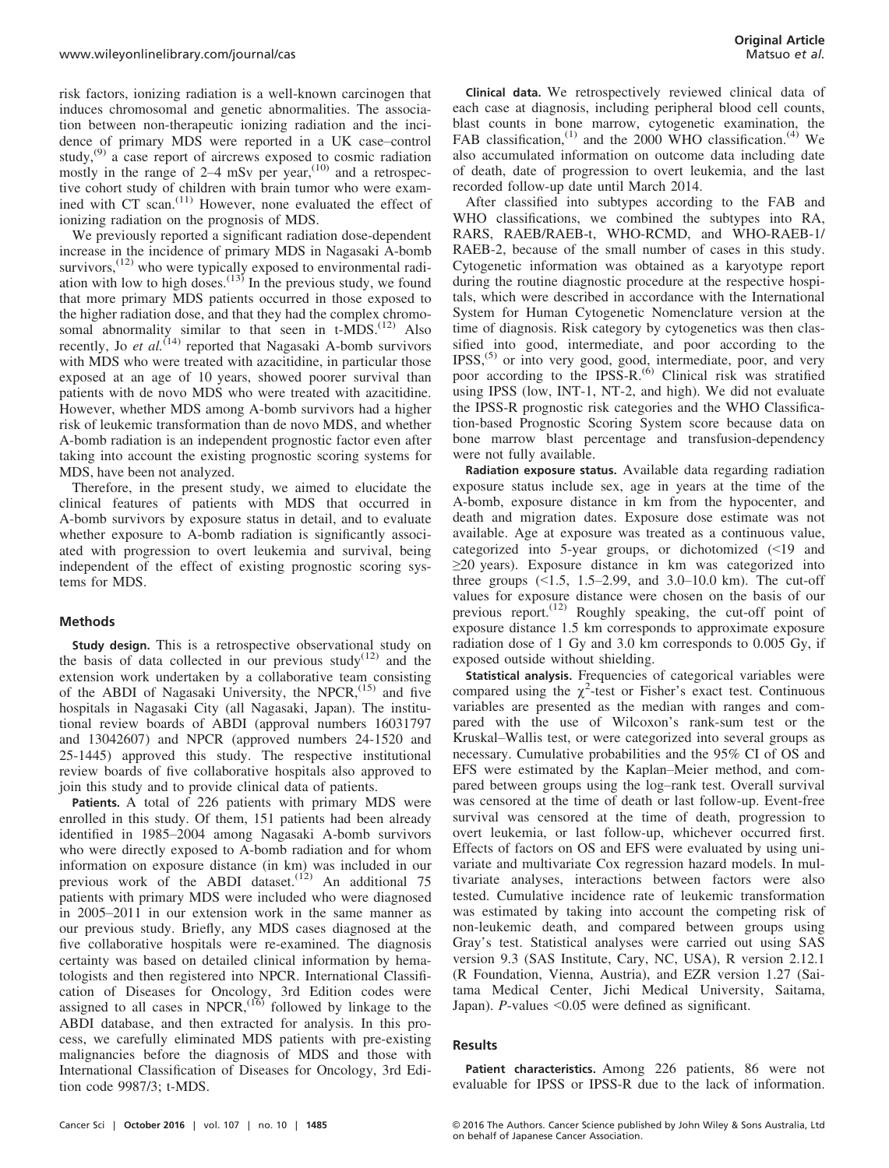risk factors, ionizing radiation is a well-known carcinogen that induces chromosomal and genetic abnormalities. The association between non-therapeutic ionizing radiation and the incidence of primary MDS were reported in a UK case–control study,<sup>(9)</sup> a case report of aircrews exposed to cosmic radiation mostly in the range of  $2-4$  mSv per year,<sup> $(10)$ </sup> and a retrospective cohort study of children with brain tumor who were examined with  $CT$  scan.<sup>(11)</sup> However, none evaluated the effect of ionizing radiation on the prognosis of MDS.

We previously reported a significant radiation dose-dependent increase in the incidence of primary MDS in Nagasaki A-bomb survivors, $^{(12)}$  who were typically exposed to environmental radiation with low to high doses.<sup> $(13)$ </sup> In the previous study, we found that more primary MDS patients occurred in those exposed to the higher radiation dose, and that they had the complex chromosomal abnormality similar to that seen in  $t-MDS$ .<sup>(12)</sup> Also recently, Jo *et al.*<sup>(14)</sup> reported that Nagasaki A-bomb survivors with MDS who were treated with azacitidine, in particular those exposed at an age of 10 years, showed poorer survival than patients with de novo MDS who were treated with azacitidine. However, whether MDS among A-bomb survivors had a higher risk of leukemic transformation than de novo MDS, and whether A-bomb radiation is an independent prognostic factor even after taking into account the existing prognostic scoring systems for MDS, have been not analyzed.

Therefore, in the present study, we aimed to elucidate the clinical features of patients with MDS that occurred in A-bomb survivors by exposure status in detail, and to evaluate whether exposure to A-bomb radiation is significantly associated with progression to overt leukemia and survival, being independent of the effect of existing prognostic scoring systems for MDS.

### Methods

**Study design.** This is a retrospective observational study on the basis of data collected in our previous study<sup>(12)</sup> and the extension work undertaken by a collaborative team consisting of the ABDI of Nagasaki University, the NPCR,<sup>(15)</sup> and five hospitals in Nagasaki City (all Nagasaki, Japan). The institutional review boards of ABDI (approval numbers 16031797 and 13042607) and NPCR (approved numbers 24-1520 and 25-1445) approved this study. The respective institutional review boards of five collaborative hospitals also approved to join this study and to provide clinical data of patients.

Patients. A total of 226 patients with primary MDS were enrolled in this study. Of them, 151 patients had been already identified in 1985–2004 among Nagasaki A-bomb survivors who were directly exposed to A-bomb radiation and for whom information on exposure distance (in km) was included in our previous work of the ABDI dataset.<sup>(12)</sup> An additional 75 patients with primary MDS were included who were diagnosed in 2005–2011 in our extension work in the same manner as our previous study. Briefly, any MDS cases diagnosed at the five collaborative hospitals were re-examined. The diagnosis certainty was based on detailed clinical information by hematologists and then registered into NPCR. International Classification of Diseases for Oncology, 3rd Edition codes were assigned to all cases in NPCR,  $(16)$  followed by linkage to the ABDI database, and then extracted for analysis. In this process, we carefully eliminated MDS patients with pre-existing malignancies before the diagnosis of MDS and those with International Classification of Diseases for Oncology, 3rd Edition code 9987/3; t-MDS.

Clinical data. We retrospectively reviewed clinical data of each case at diagnosis, including peripheral blood cell counts, blast counts in bone marrow, cytogenetic examination, the FAB classification,<sup>(1)</sup> and the 2000 WHO classification.<sup>(4)</sup> We also accumulated information on outcome data including date of death, date of progression to overt leukemia, and the last recorded follow-up date until March 2014.

After classified into subtypes according to the FAB and WHO classifications, we combined the subtypes into RA, RARS, RAEB/RAEB-t, WHO-RCMD, and WHO-RAEB-1/ RAEB-2, because of the small number of cases in this study. Cytogenetic information was obtained as a karyotype report during the routine diagnostic procedure at the respective hospitals, which were described in accordance with the International System for Human Cytogenetic Nomenclature version at the time of diagnosis. Risk category by cytogenetics was then classified into good, intermediate, and poor according to the IPSS,<sup>(5)</sup> or into very good, good, intermediate, poor, and very poor according to the IPSS-R. $^{(6)}$  Clinical risk was stratified using IPSS (low, INT-1, NT-2, and high). We did not evaluate the IPSS-R prognostic risk categories and the WHO Classification-based Prognostic Scoring System score because data on bone marrow blast percentage and transfusion-dependency were not fully available.

Radiation exposure status. Available data regarding radiation exposure status include sex, age in years at the time of the A-bomb, exposure distance in km from the hypocenter, and death and migration dates. Exposure dose estimate was not available. Age at exposure was treated as a continuous value, categorized into 5-year groups, or dichotomized (<19 and  $\geq$ 20 years). Exposure distance in km was categorized into three groups  $(1.5, 1.5-2.99, \text{ and } 3.0-10.0 \text{ km})$ . The cut-off values for exposure distance were chosen on the basis of our previous report.<sup> $(12)$ </sup> Roughly speaking, the cut-off point of exposure distance 1.5 km corresponds to approximate exposure radiation dose of 1 Gy and 3.0 km corresponds to 0.005 Gy, if exposed outside without shielding.

Statistical analysis. Frequencies of categorical variables were compared using the  $\chi^2$ -test or Fisher's exact test. Continuous variables are presented as the median with ranges and compared with the use of Wilcoxon's rank-sum test or the Kruskal–Wallis test, or were categorized into several groups as necessary. Cumulative probabilities and the 95% CI of OS and EFS were estimated by the Kaplan–Meier method, and compared between groups using the log–rank test. Overall survival was censored at the time of death or last follow-up. Event-free survival was censored at the time of death, progression to overt leukemia, or last follow-up, whichever occurred first. Effects of factors on OS and EFS were evaluated by using univariate and multivariate Cox regression hazard models. In multivariate analyses, interactions between factors were also tested. Cumulative incidence rate of leukemic transformation was estimated by taking into account the competing risk of non-leukemic death, and compared between groups using Gray's test. Statistical analyses were carried out using SAS version 9.3 (SAS Institute, Cary, NC, USA), R version 2.12.1 (R Foundation, Vienna, Austria), and EZR version 1.27 (Saitama Medical Center, Jichi Medical University, Saitama, Japan). P-values <0.05 were defined as significant.

#### Results

Patient characteristics. Among 226 patients, 86 were not evaluable for IPSS or IPSS-R due to the lack of information.

Cancer Sci | October 2016 | vol. 107 | no. 10 | 1485 © 2016 The Authors. Cancer Science published by John Wiley & Sons Australia, Ltd on behalf of Japanese Cancer Association.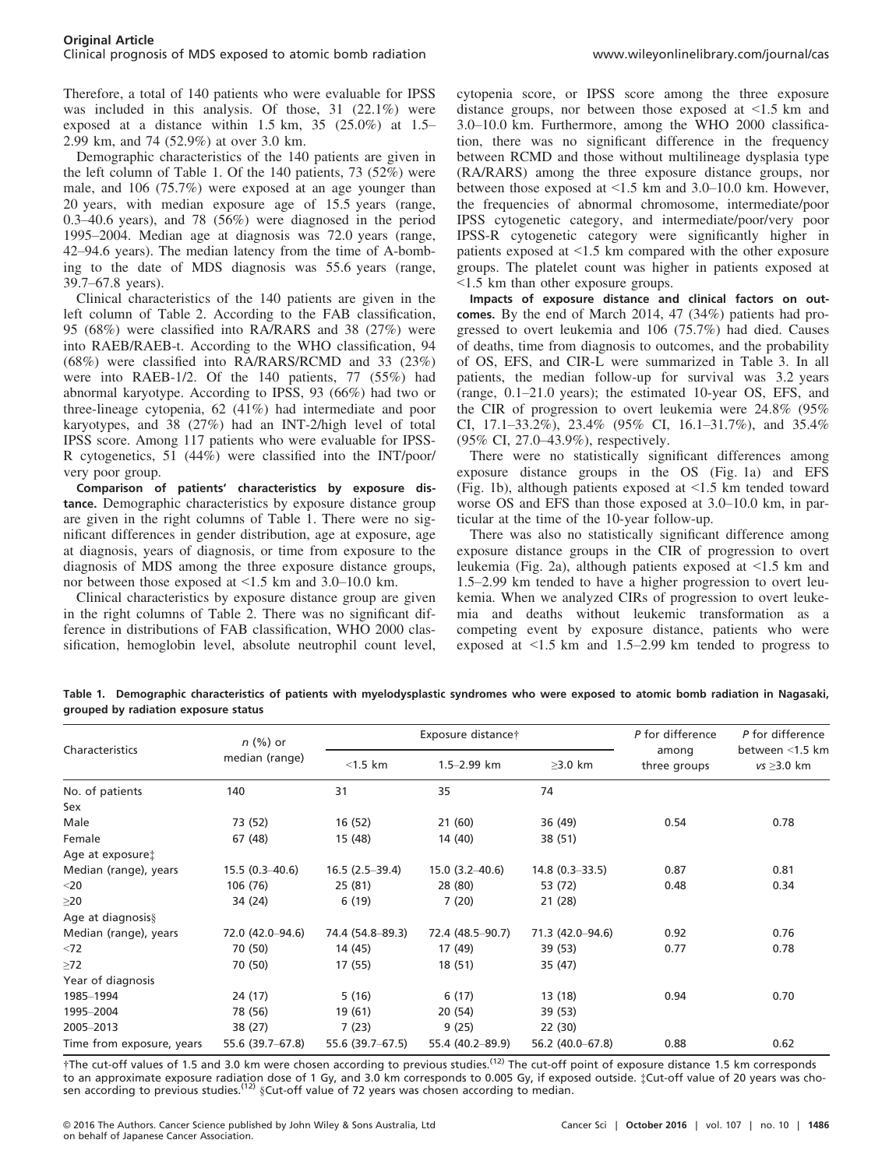Therefore, a total of 140 patients who were evaluable for IPSS was included in this analysis. Of those, 31 (22.1%) were exposed at a distance within 1.5 km, 35 (25.0%) at 1.5– 2.99 km, and 74 (52.9%) at over 3.0 km.

Demographic characteristics of the 140 patients are given in the left column of Table 1. Of the 140 patients, 73 (52%) were male, and 106 (75.7%) were exposed at an age younger than 20 years, with median exposure age of 15.5 years (range, 0.3–40.6 years), and 78 (56%) were diagnosed in the period 1995–2004. Median age at diagnosis was 72.0 years (range, 42–94.6 years). The median latency from the time of A-bombing to the date of MDS diagnosis was 55.6 years (range, 39.7–67.8 years).

Clinical characteristics of the 140 patients are given in the left column of Table 2. According to the FAB classification, 95 (68%) were classified into RA/RARS and 38 (27%) were into RAEB/RAEB-t. According to the WHO classification, 94 (68%) were classified into RA/RARS/RCMD and 33 (23%) were into RAEB-1/2. Of the 140 patients, 77 (55%) had abnormal karyotype. According to IPSS, 93 (66%) had two or three-lineage cytopenia, 62 (41%) had intermediate and poor karyotypes, and 38 (27%) had an INT-2/high level of total IPSS score. Among 117 patients who were evaluable for IPSS-R cytogenetics, 51 (44%) were classified into the INT/poor/ very poor group.

Comparison of patients' characteristics by exposure distance. Demographic characteristics by exposure distance group are given in the right columns of Table 1. There were no significant differences in gender distribution, age at exposure, age at diagnosis, years of diagnosis, or time from exposure to the diagnosis of MDS among the three exposure distance groups, nor between those exposed at <1.5 km and 3.0–10.0 km.

Clinical characteristics by exposure distance group are given in the right columns of Table 2. There was no significant difference in distributions of FAB classification, WHO 2000 classification, hemoglobin level, absolute neutrophil count level,

cytopenia score, or IPSS score among the three exposure distance groups, nor between those exposed at <1.5 km and 3.0–10.0 km. Furthermore, among the WHO 2000 classification, there was no significant difference in the frequency between RCMD and those without multilineage dysplasia type (RA/RARS) among the three exposure distance groups, nor between those exposed at <1.5 km and 3.0–10.0 km. However, the frequencies of abnormal chromosome, intermediate/poor IPSS cytogenetic category, and intermediate/poor/very poor IPSS-R cytogenetic category were significantly higher in patients exposed at <1.5 km compared with the other exposure groups. The platelet count was higher in patients exposed at <1.5 km than other exposure groups.

Impacts of exposure distance and clinical factors on outcomes. By the end of March 2014, 47 (34%) patients had progressed to overt leukemia and 106 (75.7%) had died. Causes of deaths, time from diagnosis to outcomes, and the probability of OS, EFS, and CIR-L were summarized in Table 3. In all patients, the median follow-up for survival was 3.2 years (range, 0.1–21.0 years); the estimated 10-year OS, EFS, and the CIR of progression to overt leukemia were 24.8% (95% CI, 17.1–33.2%), 23.4% (95% CI, 16.1–31.7%), and 35.4% (95% CI, 27.0–43.9%), respectively.

There were no statistically significant differences among exposure distance groups in the OS (Fig. 1a) and EFS (Fig. 1b), although patients exposed at <1.5 km tended toward worse OS and EFS than those exposed at 3.0–10.0 km, in particular at the time of the 10-year follow-up.

There was also no statistically significant difference among exposure distance groups in the CIR of progression to overt leukemia (Fig. 2a), although patients exposed at <1.5 km and 1.5–2.99 km tended to have a higher progression to overt leukemia. When we analyzed CIRs of progression to overt leukemia and deaths without leukemic transformation as a competing event by exposure distance, patients who were exposed at <1.5 km and 1.5–2.99 km tended to progress to

Table 1. Demographic characteristics of patients with myelodysplastic syndromes who were exposed to atomic bomb radiation in Nagasaki, grouped by radiation exposure status

| Characteristics           | $n$ (%) or       |                  | Exposure distance† | P for difference   | P for difference      |                                     |
|---------------------------|------------------|------------------|--------------------|--------------------|-----------------------|-------------------------------------|
|                           | median (range)   | $<$ 1.5 km       | $1.5 - 2.99$ km    | $>3.0$ km          | among<br>three groups | between <1.5 km<br>$vs \geq 3.0 km$ |
| No. of patients           | 140              | 31               | 35                 | 74                 |                       |                                     |
| Sex                       |                  |                  |                    |                    |                       |                                     |
| Male                      | 73 (52)          | 16 (52)          | 21 (60)            | 36 (49)            | 0.54                  | 0.78                                |
| Female                    | 67 (48)          | 15 (48)          | 14 (40)            | 38 (51)            |                       |                                     |
| Age at exposure:          |                  |                  |                    |                    |                       |                                     |
| Median (range), years     | $15.5(0.3-40.6)$ | $16.5(2.5-39.4)$ | $15.0$ (3.2-40.6)  | $14.8(0.3 - 33.5)$ | 0.87                  | 0.81                                |
| $<$ 20                    | 106 (76)         | 25(81)           | 28 (80)            | 53 (72)            | 0.48                  | 0.34                                |
| $\geq$ 20                 | 34 (24)          | 6(19)            | 7(20)              | 21 (28)            |                       |                                     |
| Age at diagnosis§         |                  |                  |                    |                    |                       |                                     |
| Median (range), years     | 72.0 (42.0–94.6) | 74.4 (54.8–89.3) | 72.4 (48.5–90.7)   | 71.3 (42.0-94.6)   | 0.92                  | 0.76                                |
| <72                       | 70 (50)          | 14 (45)          | 17 (49)            | 39 (53)            | 0.77                  | 0.78                                |
| $\geq$ 72                 | 70 (50)          | 17 (55)          | 18 (51)            | 35 (47)            |                       |                                     |
| Year of diagnosis         |                  |                  |                    |                    |                       |                                     |
| 1985-1994                 | 24 (17)          | 5(16)            | 6(17)              | 13 (18)            | 0.94                  | 0.70                                |
| 1995-2004                 | 78 (56)          | 19 (61)          | 20 (54)            | 39 (53)            |                       |                                     |
| 2005-2013                 | 38 (27)          | 7(23)            | 9(25)              | 22 (30)            |                       |                                     |
| Time from exposure, years | 55.6 (39.7–67.8) | 55.6 (39.7–67.5) | 55.4 (40.2–89.9)   | 56.2 (40.0–67.8)   | 0.88                  | 0.62                                |

†The cut-off values of 1.5 and 3.0 km were chosen according to previous studies.(12) The cut-off point of exposure distance 1.5 km corresponds to an approximate exposure radiation dose of 1 Gy, and 3.0 km corresponds to 0.005 Gy, if exposed outside. ‡Cut-off value of 20 years was chosen according to previous studies.<sup>(12)</sup> §Cut-off value of 72 years was chosen according to median.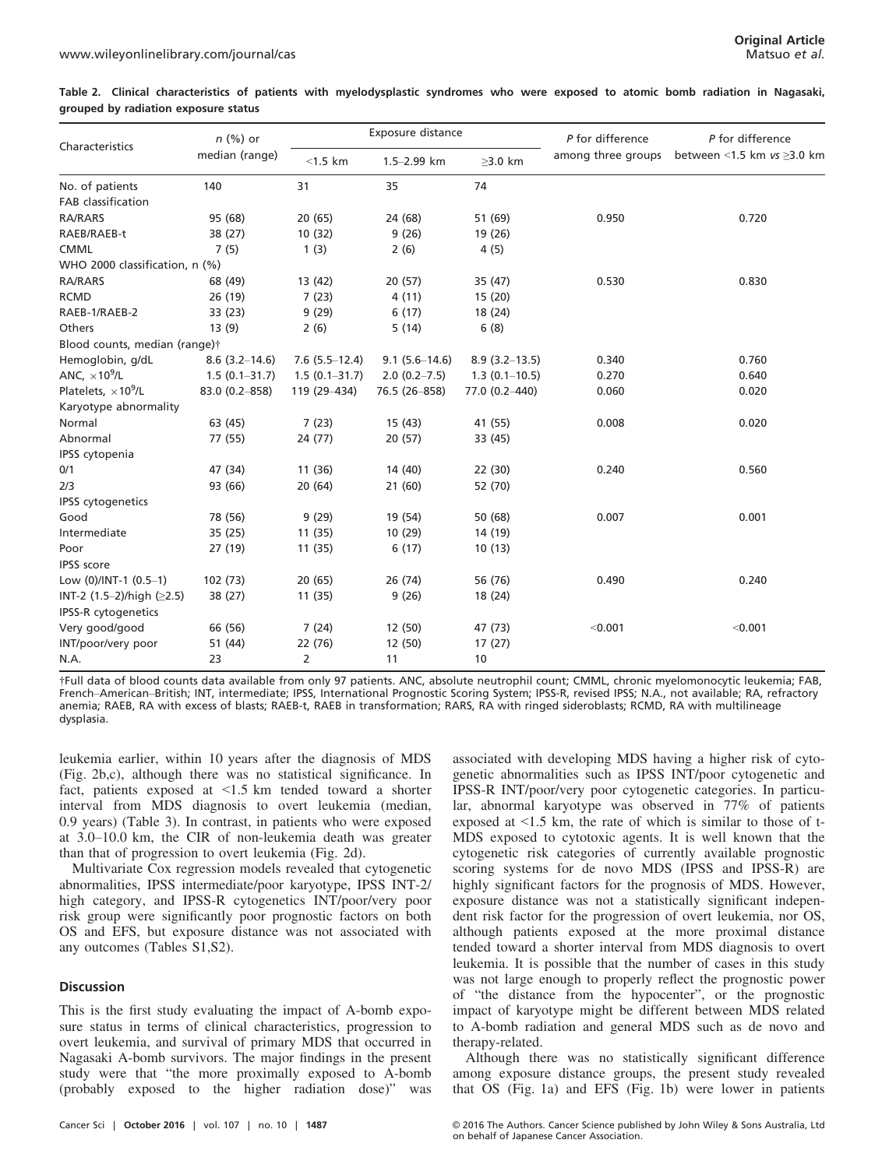|  |                                      |  | Table 2. Clinical characteristics of patients with myelodysplastic syndromes who were exposed to atomic bomb radiation in Nagasaki, |  |  |  |  |  |
|--|--------------------------------------|--|-------------------------------------------------------------------------------------------------------------------------------------|--|--|--|--|--|
|  | grouped by radiation exposure status |  |                                                                                                                                     |  |  |  |  |  |

|                                | $n$ (%) or        |                   | Exposure distance |                 | P for difference   | P for difference           |  |  |
|--------------------------------|-------------------|-------------------|-------------------|-----------------|--------------------|----------------------------|--|--|
| Characteristics                | median (range)    | $<$ 1.5 km        | 1.5-2.99 km       | $\geq$ 3.0 km   | among three groups | between <1.5 km vs ≥3.0 km |  |  |
| No. of patients                | 140               | 31                | 35                | 74              |                    |                            |  |  |
| FAB classification             |                   |                   |                   |                 |                    |                            |  |  |
| RA/RARS                        | 95 (68)           | 20(65)            | 24 (68)           | 51 (69)         | 0.950              | 0.720                      |  |  |
| RAEB/RAEB-t                    | 38 (27)           | 10 (32)           | 9(26)             | 19 (26)         |                    |                            |  |  |
| <b>CMML</b>                    | 7(5)              | 1(3)              | 2(6)              | 4(5)            |                    |                            |  |  |
| WHO 2000 classification, n (%) |                   |                   |                   |                 |                    |                            |  |  |
| RA/RARS                        | 68 (49)           | 13 (42)           | 20(57)            | 35 (47)         | 0.530              | 0.830                      |  |  |
| <b>RCMD</b>                    | 26 (19)           | 7(23)             | 4(11)             | 15 (20)         |                    |                            |  |  |
| RAEB-1/RAEB-2                  | 33 (23)           | 9(29)             | 6(17)             | 18 (24)         |                    |                            |  |  |
| Others                         | 13(9)             | 2(6)              | 5(14)             | 6(8)            |                    |                            |  |  |
| Blood counts, median (range)†  |                   |                   |                   |                 |                    |                            |  |  |
| Hemoglobin, g/dL               | $8.6$ (3.2-14.6)  | $7.6$ (5.5-12.4)  | $9.1(5.6-14.6)$   | $8.9(3.2-13.5)$ | 0.340              | 0.760                      |  |  |
| ANC, $\times 10^9$ /L          | $1.5(0.1 - 31.7)$ | $1.5(0.1 - 31.7)$ | $2.0(0.2 - 7.5)$  | $1.3(0.1-10.5)$ | 0.270              | 0.640                      |  |  |
| Platelets, $\times 10^9$ /L    | 83.0 (0.2-858)    | 119 (29-434)      | 76.5 (26-858)     | 77.0 (0.2-440)  | 0.060              | 0.020                      |  |  |
| Karyotype abnormality          |                   |                   |                   |                 |                    |                            |  |  |
| Normal                         | 63 (45)           | 7(23)             | 15 (43)           | 41 (55)         | 0.008              | 0.020                      |  |  |
| Abnormal                       | 77 (55)           | 24 (77)           | 20(57)            | 33 (45)         |                    |                            |  |  |
| IPSS cytopenia                 |                   |                   |                   |                 |                    |                            |  |  |
| 0/1                            | 47 (34)           | 11 (36)           | 14 (40)           | 22 (30)         | 0.240              | 0.560                      |  |  |
| 2/3                            | 93 (66)           | 20(64)            | 21(60)            | 52 (70)         |                    |                            |  |  |
| IPSS cytogenetics              |                   |                   |                   |                 |                    |                            |  |  |
| Good                           | 78 (56)           | 9(29)             | 19 (54)           | 50 (68)         | 0.007              | 0.001                      |  |  |
| Intermediate                   | 35 (25)           | 11(35)            | 10 (29)           | 14 (19)         |                    |                            |  |  |
| Poor                           | 27 (19)           | 11(35)            | 6(17)             | 10(13)          |                    |                            |  |  |
| <b>IPSS</b> score              |                   |                   |                   |                 |                    |                            |  |  |
| Low $(0)/INT-1$ $(0.5-1)$      | 102 (73)          | 20(65)            | 26 (74)           | 56 (76)         | 0.490              | 0.240                      |  |  |
| INT-2 (1.5-2)/high (≥2.5)      | 38 (27)           | 11 (35)           | 9(26)             | 18 (24)         |                    |                            |  |  |
| IPSS-R cytogenetics            |                   |                   |                   |                 |                    |                            |  |  |
| Very good/good                 | 66 (56)           | 7(24)             | 12 (50)           | 47 (73)         | < 0.001            | < 0.001                    |  |  |
| INT/poor/very poor             | 51 (44)           | 22 (76)           | 12 (50)           | 17(27)          |                    |                            |  |  |
| N.A.                           | 23                | 2                 | 11                | 10              |                    |                            |  |  |

†Full data of blood counts data available from only 97 patients. ANC, absolute neutrophil count; CMML, chronic myelomonocytic leukemia; FAB, French–American–British; INT, intermediate; IPSS, International Prognostic Scoring System; IPSS-R, revised IPSS; N.A., not available; RA, refractory anemia; RAEB, RA with excess of blasts; RAEB-t, RAEB in transformation; RARS, RA with ringed sideroblasts; RCMD, RA with multilineage dysplasia.

leukemia earlier, within 10 years after the diagnosis of MDS (Fig. 2b,c), although there was no statistical significance. In fact, patients exposed at <1.5 km tended toward a shorter interval from MDS diagnosis to overt leukemia (median, 0.9 years) (Table 3). In contrast, in patients who were exposed at 3.0–10.0 km, the CIR of non-leukemia death was greater than that of progression to overt leukemia (Fig. 2d).

Multivariate Cox regression models revealed that cytogenetic abnormalities, IPSS intermediate/poor karyotype, IPSS INT-2/ high category, and IPSS-R cytogenetics INT/poor/very poor risk group were significantly poor prognostic factors on both OS and EFS, but exposure distance was not associated with any outcomes (Tables S1,S2).

### Discussion

This is the first study evaluating the impact of A-bomb exposure status in terms of clinical characteristics, progression to overt leukemia, and survival of primary MDS that occurred in Nagasaki A-bomb survivors. The major findings in the present study were that "the more proximally exposed to A-bomb (probably exposed to the higher radiation dose)" was

associated with developing MDS having a higher risk of cytogenetic abnormalities such as IPSS INT/poor cytogenetic and IPSS-R INT/poor/very poor cytogenetic categories. In particular, abnormal karyotype was observed in 77% of patients exposed at <1.5 km, the rate of which is similar to those of t-MDS exposed to cytotoxic agents. It is well known that the cytogenetic risk categories of currently available prognostic scoring systems for de novo MDS (IPSS and IPSS-R) are highly significant factors for the prognosis of MDS. However, exposure distance was not a statistically significant independent risk factor for the progression of overt leukemia, nor OS, although patients exposed at the more proximal distance tended toward a shorter interval from MDS diagnosis to overt leukemia. It is possible that the number of cases in this study was not large enough to properly reflect the prognostic power of "the distance from the hypocenter", or the prognostic impact of karyotype might be different between MDS related to A-bomb radiation and general MDS such as de novo and therapy-related.

Although there was no statistically significant difference among exposure distance groups, the present study revealed that OS (Fig. 1a) and EFS (Fig. 1b) were lower in patients

Cancer Sci | October 2016 | vol. 107 | no. 10 | 1487 © 2016 The Authors. Cancer Science published by John Wiley & Sons Australia, Ltd on behalf of Japanese Cancer Association.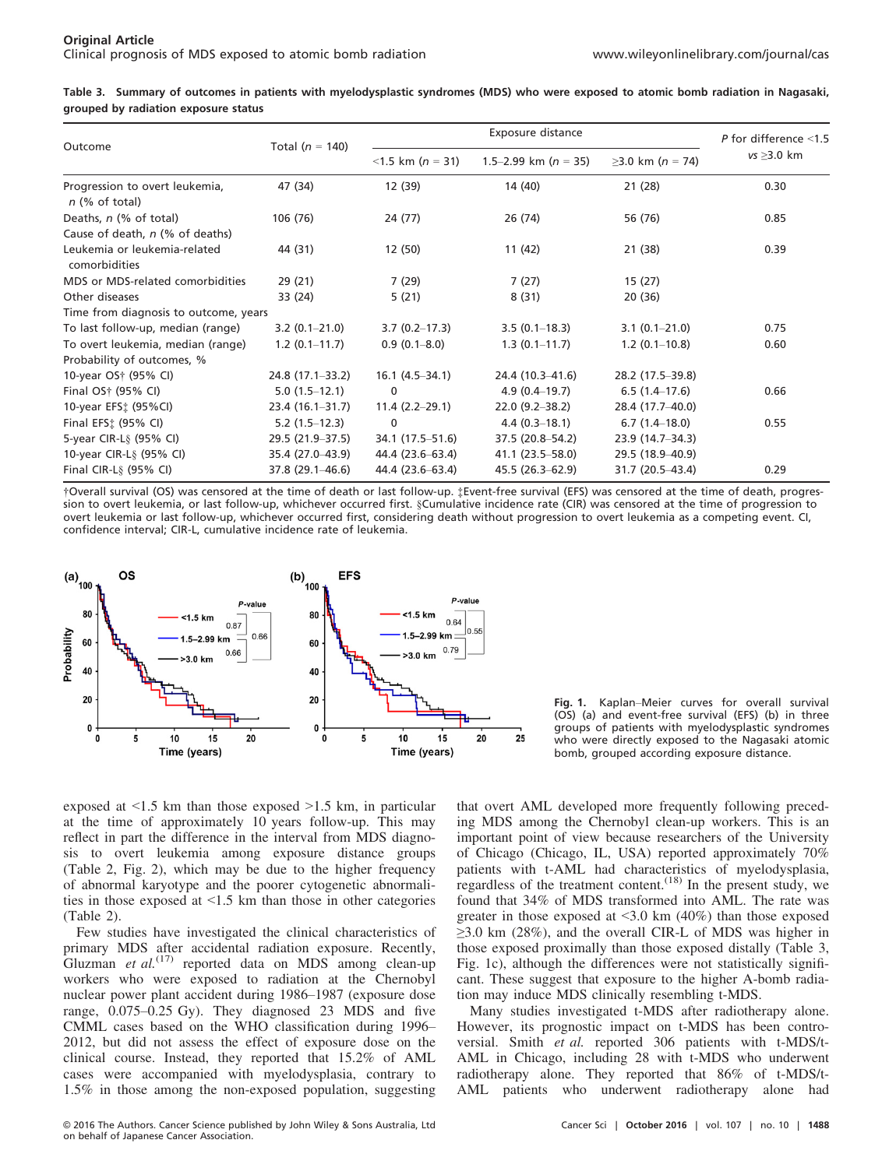Table 3. Summary of outcomes in patients with myelodysplastic syndromes (MDS) who were exposed to atomic bomb radiation in Nagasaki, grouped by radiation exposure status

|                                                    |                     |                               | P for difference $<$ 1.5 |                          |                  |  |
|----------------------------------------------------|---------------------|-------------------------------|--------------------------|--------------------------|------------------|--|
| Outcome                                            | Total ( $n = 140$ ) | $<$ 1.5 km ( <i>n</i> = 31)   | 1.5–2.99 km ( $n = 35$ ) | ≥3.0 km ( <i>n</i> = 74) | $vs \geq 3.0$ km |  |
| Progression to overt leukemia,<br>$n$ (% of total) | 47 (34)             | 12 (39)                       | 14 (40)                  | 21 (28)                  | 0.30             |  |
| Deaths, n (% of total)                             | 106 (76)            | 24 (77)<br>26 (74)<br>56 (76) |                          |                          | 0.85             |  |
| Cause of death, n (% of deaths)                    |                     |                               |                          |                          |                  |  |
| Leukemia or leukemia-related<br>comorbidities      | 44 (31)             | 12 (50)                       | 11 (42)                  | 21 (38)                  | 0.39             |  |
| MDS or MDS-related comorbidities                   | 29 (21)             | 7(29)                         | 7(27)                    | 15(27)                   |                  |  |
| Other diseases                                     | 33 (24)             | 5(21)                         | 8(31)                    | 20(36)                   |                  |  |
| Time from diagnosis to outcome, years              |                     |                               |                          |                          |                  |  |
| To last follow-up, median (range)                  | $3.2(0.1 - 21.0)$   | $3.7(0.2-17.3)$               | $3.5(0.1-18.3)$          | $3.1(0.1 - 21.0)$        | 0.75             |  |
| To overt leukemia, median (range)                  | $1.2(0.1-11.7)$     | $0.9(0.1 - 8.0)$              | $1.3(0.1-11.7)$          | $1.2(0.1-10.8)$          | 0.60             |  |
| Probability of outcomes, %                         |                     |                               |                          |                          |                  |  |
| 10-year OS <sup>+</sup> (95% CI)                   | $24.8(17.1 - 33.2)$ | $16.1(4.5-34.1)$              | 24.4 (10.3–41.6)         | 28.2 (17.5–39.8)         |                  |  |
| Final OS <sup>+</sup> (95% CI)                     | $5.0(1.5-12.1)$     | $\mathbf{0}$                  | $4.9(0.4-19.7)$          | $6.5(1.4-17.6)$          | 0.66             |  |
| 10-year EFS: (95%Cl)                               | $23.4(16.1-31.7)$   | $11.4(2.2 - 29.1)$            | $22.0(9.2 - 38.2)$       | 28.4 (17.7-40.0)         |                  |  |
| Final EFS: (95% CI)                                | $5.2(1.5-12.3)$     | $\mathbf{0}$                  | $4.4(0.3-18.1)$          | $6.7(1.4-18.0)$          | 0.55             |  |
| 5-year CIR-L§ (95% CI)                             | $29.5(21.9-37.5)$   | 34.1 (17.5–51.6)              | $37.5(20.8 - 54.2)$      | 23.9 (14.7–34.3)         |                  |  |
| 10-year CIR-L§ (95% CI)                            | 35.4 (27.0–43.9)    | 44.4 (23.6–63.4)              | 41.1 (23.5–58.0)         | 29.5 (18.9-40.9)         |                  |  |
| Final CIR-L§ (95% CI)                              | 37.8 (29.1-46.6)    | 44.4 (23.6–63.4)              | $45.5(26.3-62.9)$        | 31.7 (20.5-43.4)         | 0.29             |  |

†Overall survival (OS) was censored at the time of death or last follow-up. ‡Event-free survival (EFS) was censored at the time of death, progression to overt leukemia, or last follow-up, whichever occurred first. §Cumulative incidence rate (CIR) was censored at the time of progression to overt leukemia or last follow-up, whichever occurred first, considering death without progression to overt leukemia as a competing event. CI, confidence interval; CIR-L, cumulative incidence rate of leukemia.



Fig. 1. Kaplan–Meier curves for overall survival (OS) (a) and event-free survival (EFS) (b) in three groups of patients with myelodysplastic syndromes who were directly exposed to the Nagasaki atomic bomb, grouped according exposure distance.

exposed at <1.5 km than those exposed >1.5 km, in particular at the time of approximately 10 years follow-up. This may reflect in part the difference in the interval from MDS diagnosis to overt leukemia among exposure distance groups (Table 2, Fig. 2), which may be due to the higher frequency of abnormal karyotype and the poorer cytogenetic abnormalities in those exposed at <1.5 km than those in other categories (Table 2).

Few studies have investigated the clinical characteristics of primary MDS after accidental radiation exposure. Recently, Gluzman et  $al$ .<sup>(17)</sup> reported data on MDS among clean-up workers who were exposed to radiation at the Chernobyl nuclear power plant accident during 1986–1987 (exposure dose range, 0.075–0.25 Gy). They diagnosed 23 MDS and five CMML cases based on the WHO classification during 1996– 2012, but did not assess the effect of exposure dose on the clinical course. Instead, they reported that 15.2% of AML cases were accompanied with myelodysplasia, contrary to 1.5% in those among the non-exposed population, suggesting

that overt AML developed more frequently following preceding MDS among the Chernobyl clean-up workers. This is an important point of view because researchers of the University of Chicago (Chicago, IL, USA) reported approximately 70% patients with t-AML had characteristics of myelodysplasia, regardless of the treatment content.<sup> $(18)$ </sup> In the present study, we found that 34% of MDS transformed into AML. The rate was greater in those exposed at <3.0 km (40%) than those exposed  $\geq$ 3.0 km (28%), and the overall CIR-L of MDS was higher in those exposed proximally than those exposed distally (Table 3, Fig. 1c), although the differences were not statistically significant. These suggest that exposure to the higher A-bomb radiation may induce MDS clinically resembling t-MDS.

Many studies investigated t-MDS after radiotherapy alone. However, its prognostic impact on t-MDS has been controversial. Smith et al. reported 306 patients with t-MDS/t-AML in Chicago, including 28 with t-MDS who underwent radiotherapy alone. They reported that 86% of t-MDS/t-AML patients who underwent radiotherapy alone had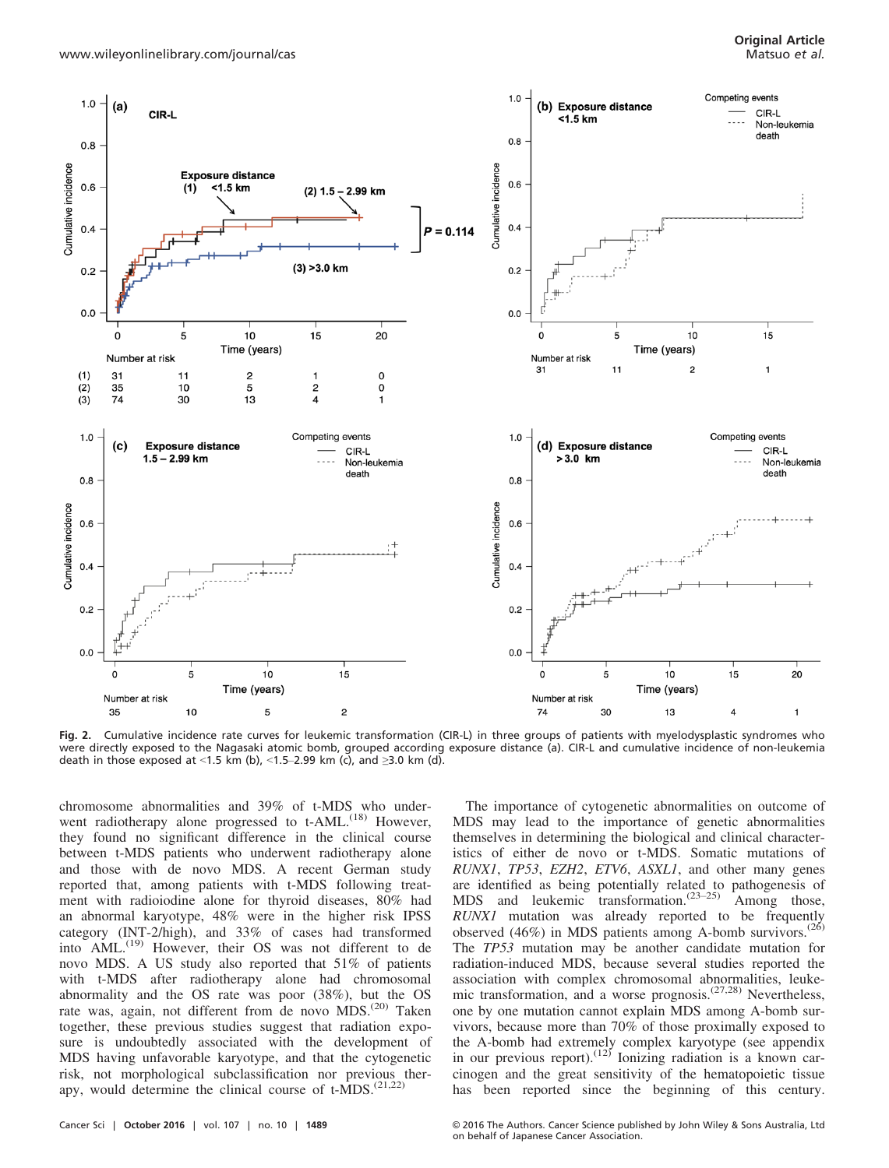

Fig. 2. Cumulative incidence rate curves for leukemic transformation (CIR-L) in three groups of patients with myelodysplastic syndromes who were directly exposed to the Nagasaki atomic bomb, grouped according exposure distance (a). CIR-L and cumulative incidence of non-leukemia death in those exposed at <1.5 km (b), <1.5–2.99 km (c), and  $\geq$ 3.0 km (d).

chromosome abnormalities and 39% of t-MDS who underwent radiotherapy alone progressed to t-AML.<sup>(18)</sup> However, they found no significant difference in the clinical course between t-MDS patients who underwent radiotherapy alone and those with de novo MDS. A recent German study reported that, among patients with t-MDS following treatment with radioiodine alone for thyroid diseases, 80% had an abnormal karyotype, 48% were in the higher risk IPSS category (INT-2/high), and 33% of cases had transformed into AML.<sup>(19)</sup> However, their OS was not different to de novo MDS. A US study also reported that 51% of patients with t-MDS after radiotherapy alone had chromosomal abnormality and the OS rate was poor (38%), but the OS rate was, again, not different from de novo MDS.<sup>(20)</sup> Taken together, these previous studies suggest that radiation exposure is undoubtedly associated with the development of MDS having unfavorable karyotype, and that the cytogenetic risk, not morphological subclassification nor previous therapy, would determine the clinical course of  $t$ - $MDS$ .<sup>(21,22)</sup>

MDS may lead to the importance of genetic abnormalities themselves in determining the biological and clinical characteristics of either de novo or t-MDS. Somatic mutations of RUNX1, TP53, EZH2, ETV6, ASXL1, and other many genes are identified as being potentially related to pathogenesis of MDS and leukemic transformation.<sup> $(23-25)$ </sup> Among those, RUNX1 mutation was already reported to be frequently observed  $(46%)$  in MDS patients among A-bomb survivors.<sup>(26)</sup> The TP53 mutation may be another candidate mutation for radiation-induced MDS, because several studies reported the association with complex chromosomal abnormalities, leukemic transformation, and a worse prognosis.(27,28) Nevertheless, one by one mutation cannot explain MDS among A-bomb survivors, because more than 70% of those proximally exposed to the A-bomb had extremely complex karyotype (see appendix in our previous report).<sup> $(12)$ </sup> Ionizing radiation is a known carcinogen and the great sensitivity of the hematopoietic tissue has been reported since the beginning of this century.

The importance of cytogenetic abnormalities on outcome of

Cancer Sci | October 2016 | vol. 107 | no. 10 | 1489 © 2016 The Authors. Cancer Science published by John Wiley & Sons Australia, Ltd on behalf of Japanese Cancer Association.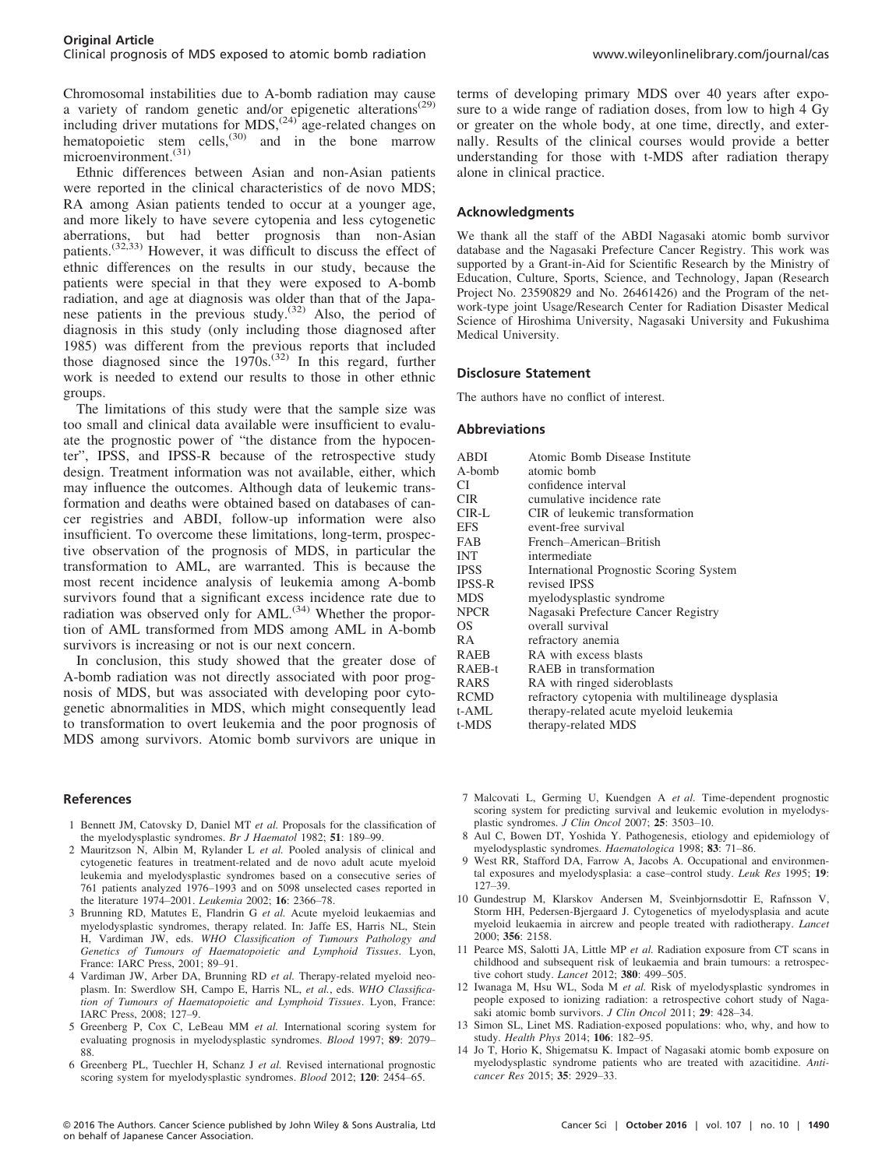Chromosomal instabilities due to A-bomb radiation may cause a variety of random genetic and/or epigenetic alterations<sup>(29)</sup> including driver mutations for  $MDS$ ,  $(24)$  age-related changes on hematopoietic stem cells,<sup>(30)</sup> and in the bone marrow microenvironment.(31)

Ethnic differences between Asian and non-Asian patients were reported in the clinical characteristics of de novo MDS; RA among Asian patients tended to occur at a younger age, and more likely to have severe cytopenia and less cytogenetic aberrations, but had better prognosis than non-Asian patients.<sup>(32,33)</sup> However, it was difficult to discuss the effect of ethnic differences on the results in our study, because the patients were special in that they were exposed to A-bomb radiation, and age at diagnosis was older than that of the Japanese patients in the previous study. $(32)$  Also, the period of diagnosis in this study (only including those diagnosed after 1985) was different from the previous reports that included those diagnosed since the  $1970s^{(32)}$  In this regard, further work is needed to extend our results to those in other ethnic groups.

The limitations of this study were that the sample size was too small and clinical data available were insufficient to evaluate the prognostic power of "the distance from the hypocenter", IPSS, and IPSS-R because of the retrospective study design. Treatment information was not available, either, which may influence the outcomes. Although data of leukemic transformation and deaths were obtained based on databases of cancer registries and ABDI, follow-up information were also insufficient. To overcome these limitations, long-term, prospective observation of the prognosis of MDS, in particular the transformation to AML, are warranted. This is because the most recent incidence analysis of leukemia among A-bomb survivors found that a significant excess incidence rate due to radiation was observed only for AML.<sup>(34)</sup> Whether the proportion of AML transformed from MDS among AML in A-bomb survivors is increasing or not is our next concern.

In conclusion, this study showed that the greater dose of A-bomb radiation was not directly associated with poor prognosis of MDS, but was associated with developing poor cytogenetic abnormalities in MDS, which might consequently lead to transformation to overt leukemia and the poor prognosis of MDS among survivors. Atomic bomb survivors are unique in

#### References

- 1 Bennett JM, Catovsky D, Daniel MT et al. Proposals for the classification of the myelodysplastic syndromes. Br J Haematol 1982; 51: 189-99.
- 2 Mauritzson N, Albin M, Rylander L et al. Pooled analysis of clinical and cytogenetic features in treatment-related and de novo adult acute myeloid leukemia and myelodysplastic syndromes based on a consecutive series of 761 patients analyzed 1976–1993 and on 5098 unselected cases reported in the literature 1974–2001. Leukemia 2002; 16: 2366–78.
- 3 Brunning RD, Matutes E, Flandrin G et al. Acute myeloid leukaemias and myelodysplastic syndromes, therapy related. In: Jaffe ES, Harris NL, Stein H, Vardiman JW, eds. WHO Classification of Tumours Pathology and Genetics of Tumours of Haematopoietic and Lymphoid Tissues. Lyon, France: IARC Press, 2001; 89–91.
- 4 Vardiman JW, Arber DA, Brunning RD et al. Therapy-related myeloid neoplasm. In: Swerdlow SH, Campo E, Harris NL, et al., eds. WHO Classification of Tumours of Haematopoietic and Lymphoid Tissues. Lyon, France: IARC Press, 2008; 127–9.
- 5 Greenberg P, Cox C, LeBeau MM et al. International scoring system for evaluating prognosis in myelodysplastic syndromes. Blood 1997; 89: 2079– 88.
- 6 Greenberg PL, Tuechler H, Schanz J et al. Revised international prognostic scoring system for myelodysplastic syndromes. Blood 2012; 120: 2454–65.

terms of developing primary MDS over 40 years after exposure to a wide range of radiation doses, from low to high 4 Gy or greater on the whole body, at one time, directly, and externally. Results of the clinical courses would provide a better understanding for those with t-MDS after radiation therapy alone in clinical practice.

#### Acknowledgments

We thank all the staff of the ABDI Nagasaki atomic bomb survivor database and the Nagasaki Prefecture Cancer Registry. This work was supported by a Grant-in-Aid for Scientific Research by the Ministry of Education, Culture, Sports, Science, and Technology, Japan (Research Project No. 23590829 and No. 26461426) and the Program of the network-type joint Usage/Research Center for Radiation Disaster Medical Science of Hiroshima University, Nagasaki University and Fukushima Medical University.

#### Disclosure Statement

The authors have no conflict of interest.

#### Abbreviations

| ABDI          | Atomic Bomb Disease Institute                    |
|---------------|--------------------------------------------------|
| A-bomb        | atomic bomb                                      |
| СI            | confidence interval                              |
| <b>CIR</b>    | cumulative incidence rate                        |
| CIR-L         | CIR of leukemic transformation                   |
| <b>EFS</b>    | event-free survival                              |
| <b>FAB</b>    | French-American-British                          |
| <b>INT</b>    | intermediate                                     |
| <b>IPSS</b>   | International Prognostic Scoring System          |
| <b>IPSS-R</b> | revised IPSS                                     |
| <b>MDS</b>    | myelodysplastic syndrome                         |
| <b>NPCR</b>   | Nagasaki Prefecture Cancer Registry              |
| OS            | overall survival                                 |
| R A           | refractory anemia                                |
| RAEB          | RA with excess blasts                            |
| RAEB-t        | RAEB in transformation                           |
| <b>RARS</b>   | RA with ringed sideroblasts                      |
| <b>RCMD</b>   | refractory cytopenia with multilineage dysplasia |
| t-AML         | therapy-related acute myeloid leukemia           |
| t-MDS         | therapy-related MDS                              |

- 7 Malcovati L, Germing U, Kuendgen A et al. Time-dependent prognostic scoring system for predicting survival and leukemic evolution in myelodysplastic syndromes. J Clin Oncol 2007; 25: 3503–10.
- 8 Aul C, Bowen DT, Yoshida Y. Pathogenesis, etiology and epidemiology of myelodysplastic syndromes. Haematologica 1998; 83: 71–86.
- 9 West RR, Stafford DA, Farrow A, Jacobs A. Occupational and environmental exposures and myelodysplasia: a case–control study. Leuk Res 1995; 19: 127–39.
- 10 Gundestrup M, Klarskov Andersen M, Sveinbjornsdottir E, Rafnsson V, Storm HH, Pedersen-Bjergaard J. Cytogenetics of myelodysplasia and acute myeloid leukaemia in aircrew and people treated with radiotherapy. Lancet 2000; 356: 2158.
- 11 Pearce MS, Salotti JA, Little MP et al. Radiation exposure from CT scans in childhood and subsequent risk of leukaemia and brain tumours: a retrospective cohort study. Lancet 2012; 380: 499–505.
- 12 Iwanaga M, Hsu WL, Soda M et al. Risk of myelodysplastic syndromes in people exposed to ionizing radiation: a retrospective cohort study of Nagasaki atomic bomb survivors. J Clin Oncol 2011; 29: 428-34.
- 13 Simon SL, Linet MS. Radiation-exposed populations: who, why, and how to study. Health Phys 2014; 106: 182–95.
- 14 Jo T, Horio K, Shigematsu K. Impact of Nagasaki atomic bomb exposure on myelodysplastic syndrome patients who are treated with azacitidine. Anticancer Res 2015; 35: 2929–33.